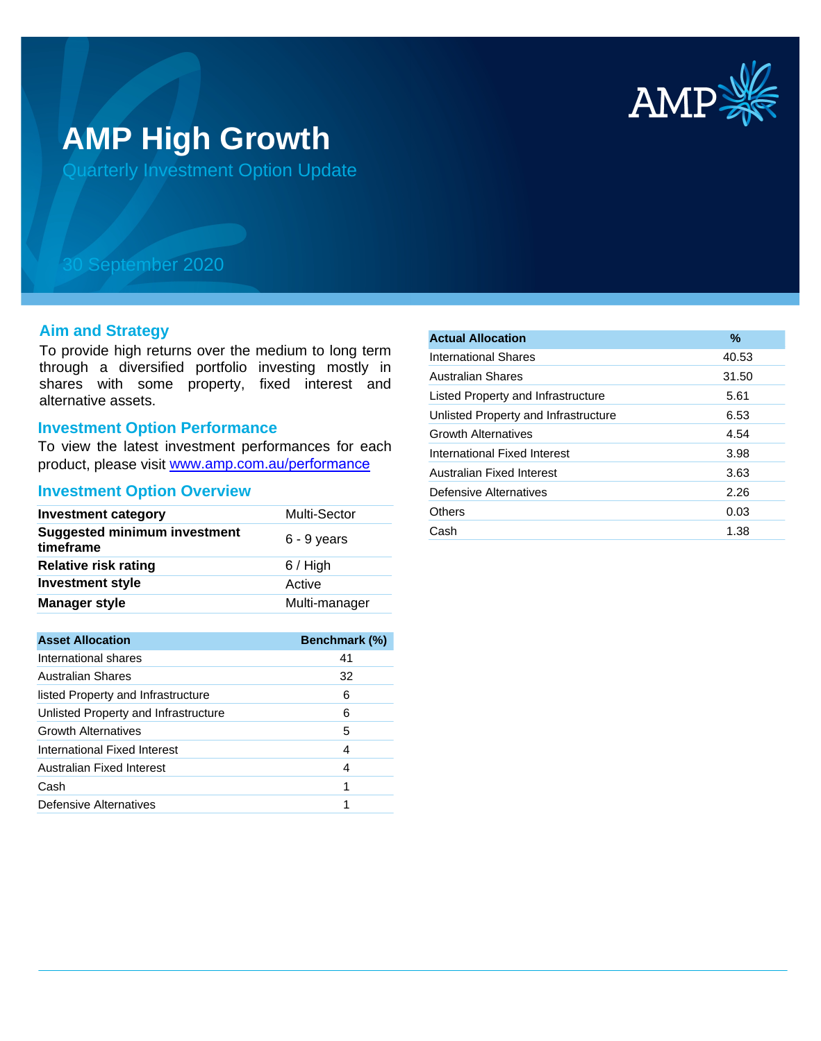

# **AMP High Growth**

Quarterly Investment Option Update

## 30 September 2020

## **Aim and Strategy**

To provide high returns over the medium to long term through a diversified portfolio investing mostly in shares with some property, fixed interest and alternative assets.

#### **Investment Option Performance**

To view the latest investment performances for each product, please visit www.amp.com.au/performance

#### **Investment Option Overview**

| <b>Investment category</b>                       | Multi-Sector  |
|--------------------------------------------------|---------------|
| <b>Suggested minimum investment</b><br>timeframe | $6 - 9$ years |
| <b>Relative risk rating</b>                      | $6/$ High     |
| <b>Investment style</b>                          | Active        |
| <b>Manager style</b>                             | Multi-manager |

| <b>Asset Allocation</b>              | <b>Benchmark (%)</b> |
|--------------------------------------|----------------------|
| International shares                 | 41                   |
| <b>Australian Shares</b>             | 32                   |
| listed Property and Infrastructure   | 6                    |
| Unlisted Property and Infrastructure | 6                    |
| <b>Growth Alternatives</b>           | 5                    |
| International Fixed Interest         | 4                    |
| Australian Fixed Interest            | 4                    |
| Cash                                 | 1                    |
| Defensive Alternatives               |                      |

| <b>Actual Allocation</b>             | $\frac{9}{6}$ |
|--------------------------------------|---------------|
| International Shares                 | 40.53         |
| Australian Shares                    | 31.50         |
| Listed Property and Infrastructure   | 5.61          |
| Unlisted Property and Infrastructure | 6.53          |
| <b>Growth Alternatives</b>           | 4.54          |
| International Fixed Interest         | 3.98          |
| Australian Fixed Interest            | 3.63          |
| Defensive Alternatives               | 2.26          |
| Others                               | 0.03          |
| Cash                                 | 1.38          |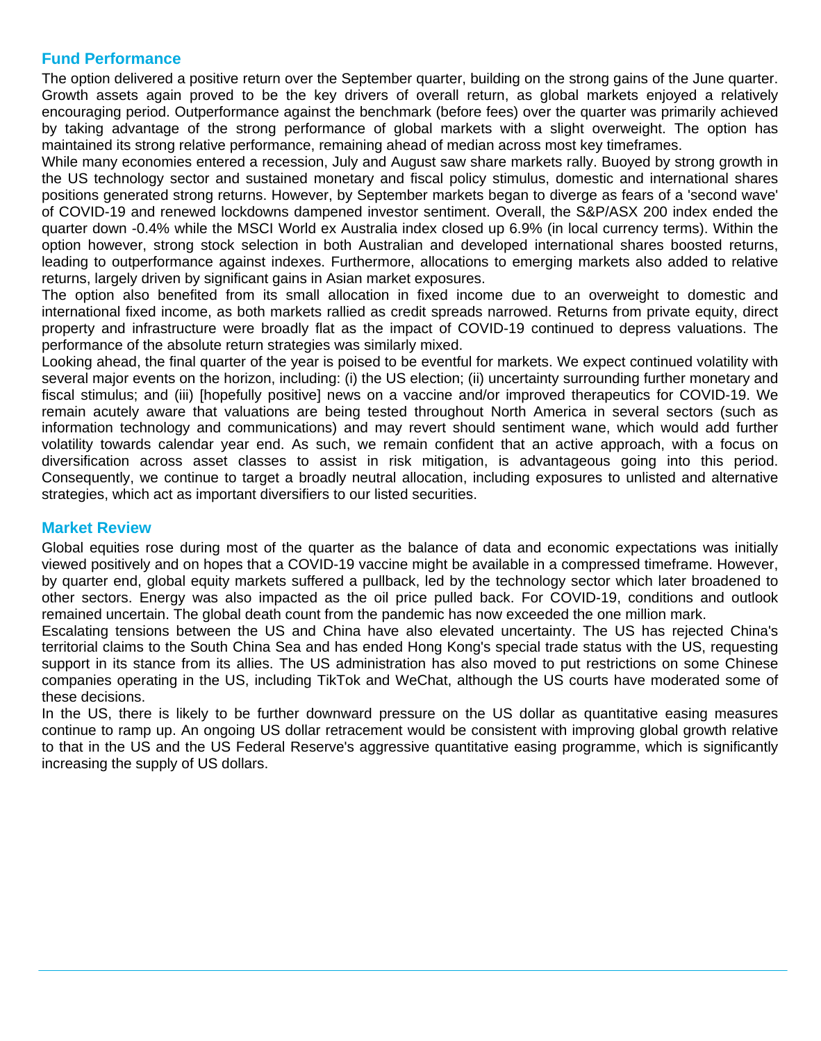## **Fund Performance**

The option delivered a positive return over the September quarter, building on the strong gains of the June quarter. Growth assets again proved to be the key drivers of overall return, as global markets enjoyed a relatively encouraging period. Outperformance against the benchmark (before fees) over the quarter was primarily achieved by taking advantage of the strong performance of global markets with a slight overweight. The option has maintained its strong relative performance, remaining ahead of median across most key timeframes.

While many economies entered a recession, July and August saw share markets rally. Buoyed by strong growth in the US technology sector and sustained monetary and fiscal policy stimulus, domestic and international shares positions generated strong returns. However, by September markets began to diverge as fears of a 'second wave' of COVID-19 and renewed lockdowns dampened investor sentiment. Overall, the S&P/ASX 200 index ended the quarter down -0.4% while the MSCI World ex Australia index closed up 6.9% (in local currency terms). Within the option however, strong stock selection in both Australian and developed international shares boosted returns, leading to outperformance against indexes. Furthermore, allocations to emerging markets also added to relative returns, largely driven by significant gains in Asian market exposures.

The option also benefited from its small allocation in fixed income due to an overweight to domestic and international fixed income, as both markets rallied as credit spreads narrowed. Returns from private equity, direct property and infrastructure were broadly flat as the impact of COVID-19 continued to depress valuations. The performance of the absolute return strategies was similarly mixed.

Looking ahead, the final quarter of the year is poised to be eventful for markets. We expect continued volatility with several major events on the horizon, including: (i) the US election; (ii) uncertainty surrounding further monetary and fiscal stimulus; and (iii) [hopefully positive] news on a vaccine and/or improved therapeutics for COVID-19. We remain acutely aware that valuations are being tested throughout North America in several sectors (such as information technology and communications) and may revert should sentiment wane, which would add further volatility towards calendar year end. As such, we remain confident that an active approach, with a focus on diversification across asset classes to assist in risk mitigation, is advantageous going into this period. Consequently, we continue to target a broadly neutral allocation, including exposures to unlisted and alternative strategies, which act as important diversifiers to our listed securities.

### **Market Review**

Global equities rose during most of the quarter as the balance of data and economic expectations was initially viewed positively and on hopes that a COVID-19 vaccine might be available in a compressed timeframe. However, by quarter end, global equity markets suffered a pullback, led by the technology sector which later broadened to other sectors. Energy was also impacted as the oil price pulled back. For COVID-19, conditions and outlook remained uncertain. The global death count from the pandemic has now exceeded the one million mark.

Escalating tensions between the US and China have also elevated uncertainty. The US has rejected China's territorial claims to the South China Sea and has ended Hong Kong's special trade status with the US, requesting support in its stance from its allies. The US administration has also moved to put restrictions on some Chinese companies operating in the US, including TikTok and WeChat, although the US courts have moderated some of these decisions.

In the US, there is likely to be further downward pressure on the US dollar as quantitative easing measures continue to ramp up. An ongoing US dollar retracement would be consistent with improving global growth relative to that in the US and the US Federal Reserve's aggressive quantitative easing programme, which is significantly increasing the supply of US dollars.